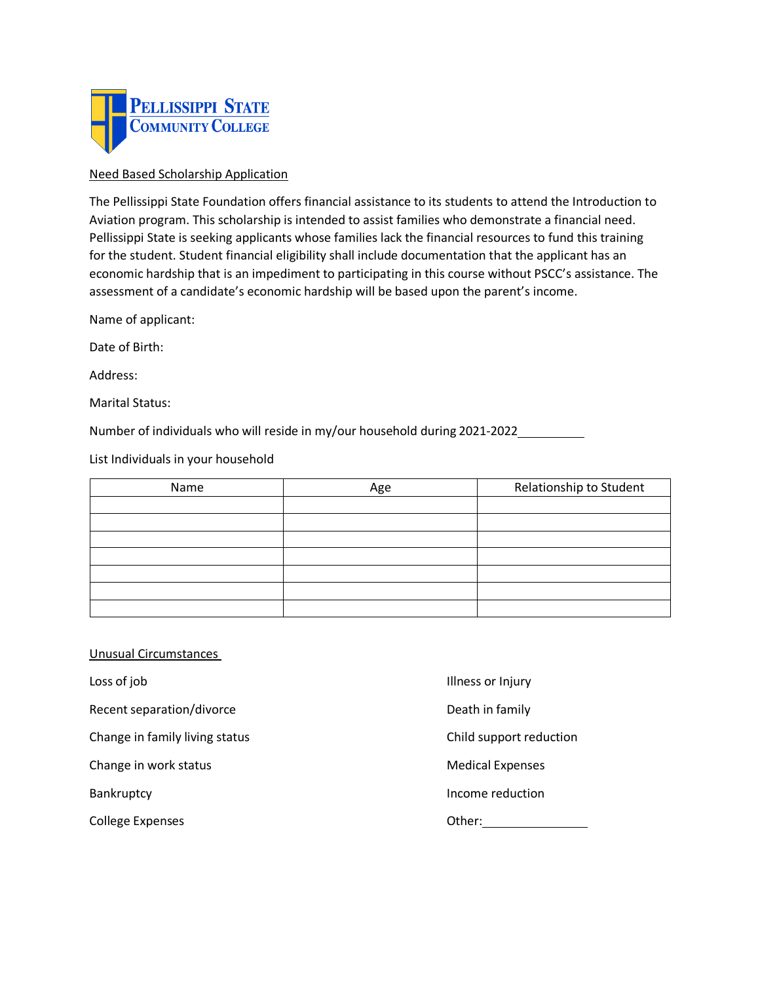

## Need Based Scholarship Application

 The Pellissippi State Foundation offers financial assistance to its students to attend the Introduction to Aviation program. This scholarship is intended to assist families who demonstrate a financial need. Pellissippi State is seeking applicants whose families lack the financial resources to fund this training for the student. Student financial eligibility shall include documentation that the applicant has an economic hardship that is an impediment to participating in this course without PSCC's assistance. The assessment of a candidate's economic hardship will be based upon the parent's income.

Name of applicant:

Date of Birth:

Address:

Marital Status:

Number of individuals who will reside in my/our household during 2021-2022

List Individuals in your household

| Name | Age | Relationship to Student |
|------|-----|-------------------------|
|      |     |                         |
|      |     |                         |
|      |     |                         |
|      |     |                         |
|      |     |                         |
|      |     |                         |
|      |     |                         |

## Unusual Circumstances

Loss of job

Recent separation/divorce

Change in family living status Child support reduction

Change in work status

College Expenses **College Expenses** College Expenses

- Illness or Injury
- Death in family
- 
- **Medical Expenses**
- Bankruptcy **Income reduction**